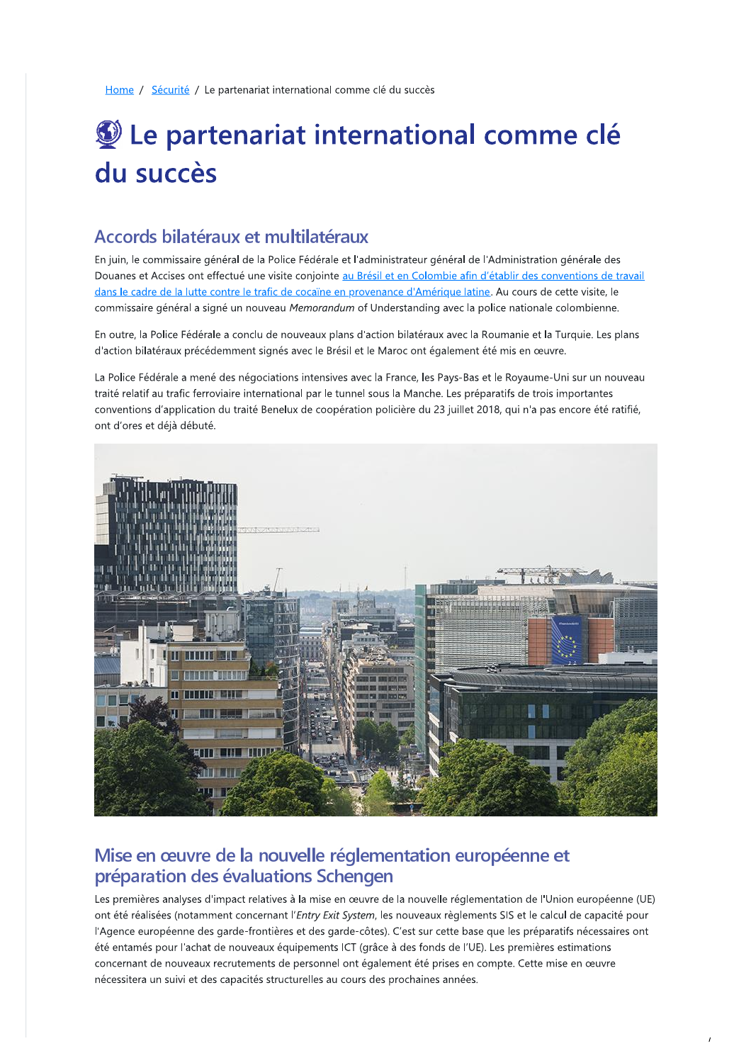Home / Sécurité / Le partenariat international comme clé du succès

# Le partenariat international comme clé du succès

## Accords bilatéraux et multilatéraux

En juin, le commissaire général de la Police Fédérale et l'administrateur général de l'Administration générale des Douanes et Accises ont effectué une visite conjointe au Brésil et en Colombie afin d'établir des conventions de travail dans le cadre de la lutte contre le trafic de cocaïne en provenance d'Amérique latine. Au cours de cette visite, le commissaire général a signé un nouveau Memorandum of Understanding avec la police nationale colombienne.

En outre, la Police Fédérale a conclu de nouveaux plans d'action bilatéraux avec la Roumanie et la Turquie. Les plans d'action bilatéraux précédemment signés avec le Brésil et le Maroc ont également été mis en œuvre.

La Police Fédérale a mené des négociations intensives avec la France, les Pays-Bas et le Royaume-Uni sur un nouveau traité relatif au trafic ferroviaire international par le tunnel sous la Manche. Les préparatifs de trois importantes conventions d'application du traité Benelux de coopération policière du 23 juillet 2018, qui n'a pas encore été ratifié, ont d'ores et déià débuté.



## Mise en œuvre de la nouvelle réglementation européenne et préparation des évaluations Schengen

Les premières analyses d'impact relatives à la mise en œuvre de la nouvelle réglementation de l'Union européenne (UE) ont été réalisées (notamment concernant l'Entry Exit System, les nouveaux règlements SIS et le calcul de capacité pour l'Agence européenne des garde-frontières et des garde-côtes). C'est sur cette base que les préparatifs nécessaires ont été entamés pour l'achat de nouveaux équipements ICT (grâce à des fonds de l'UE). Les premières estimations concernant de nouveaux recrutements de personnel ont également été prises en compte. Cette mise en œuvre nécessitera un suivi et des capacités structurelles au cours des prochaines années.